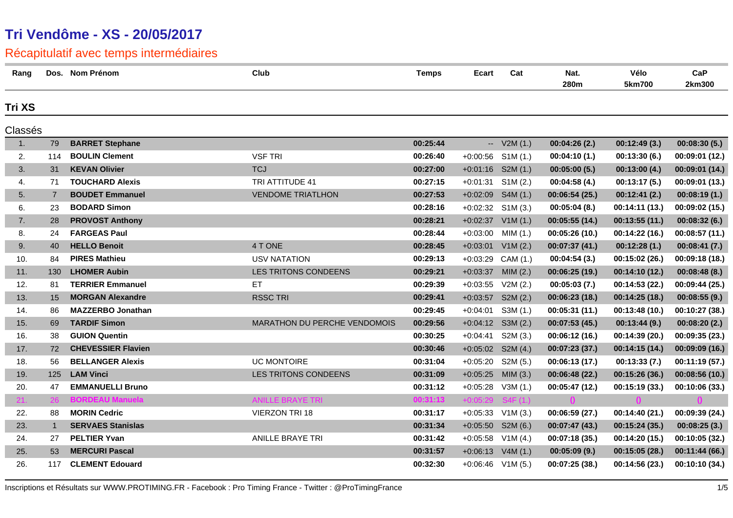| Rang    |                | Dos. Nom Prénom                    | Club                         | <b>Temps</b> | Ecart               | Cat          | Nat.<br>280m   | Vélo<br>5km700 | CaP<br>2km300  |
|---------|----------------|------------------------------------|------------------------------|--------------|---------------------|--------------|----------------|----------------|----------------|
| Tri XS  |                |                                    |                              |              |                     |              |                |                |                |
| Classés |                |                                    |                              |              |                     |              |                |                |                |
| 1.      | 79             | <b>BARRET Stephane</b>             |                              | 00:25:44     |                     | $-$ V2M (1.) | 00:04:26(2.)   | 00:12:49(3.)   | 00:08:30(5.)   |
| 2.      | 114            | <b>BOULIN Clement</b>              | <b>VSF TRI</b>               | 00:26:40     | $+0:00:56$ S1M (1.) |              | 00:04:10(1.)   | 00:13:30(6.)   | 00:09:01 (12.) |
| 3.      | 31             | <b>KEVAN Olivier</b><br><b>TCJ</b> |                              | 00:27:00     | $+0:01:16$ S2M (1.) |              | 00:05:00(5.)   | 00:13:00(4.)   | 00:09:01 (14.) |
| 4.      | 71             | <b>TOUCHARD Alexis</b>             | TRI ATTITUDE 41              | 00:27:15     | $+0:01:31$          | SIM(2.)      | 00:04:58(4.)   | 00:13:17(5.)   | 00:09:01 (13.) |
| 5.      | $\overline{7}$ | <b>BOUDET Emmanuel</b>             | <b>VENDOME TRIATLHON</b>     | 00:27:53     | $+0:02:09$          | S4M (1.)     | 00:06:54(25.)  | 00:12:41(2.)   | 00:08:19(1.)   |
| 6.      | 23             | <b>BODARD Simon</b>                |                              | 00:28:16     | $+0.02:32$ S1M (3.) |              | 00:05:04(8.)   | 00:14:11 (13.) | 00:09:02 (15.) |
| 7.      | 28             | <b>PROVOST Anthony</b>             |                              | 00:28:21     | $+0.02:37$ V1M (1.) |              | 00:05:55 (14.) | 00:13:55(11)   | 00:08:32(6.)   |
| 8.      | 24             | <b>FARGEAS Paul</b>                |                              | 00:28:44     | $+0:03:00$          | MIM(1.)      | 00:05:26(10.)  | 00:14:22 (16.) | 00:08:57 (11.) |
| 9.      | 40             | <b>HELLO Benoit</b>                | 4 T ONE                      | 00:28:45     | $+0:03:01$          | V1M(2.)      | 00:07:37 (41.) | 00:12:28(1.)   | 00:08:41(7.)   |
| 10.     | 84             | <b>PIRES Mathieu</b>               | <b>USV NATATION</b>          | 00:29:13     | $+0:03:29$          | CAM (1.)     | 00:04:54(3.)   | 00:15:02 (26.) | 00:09:18 (18.) |
| 11.     | 130            | <b>LHOMER Aubin</b>                | LES TRITONS CONDEENS         | 00:29:21     | $+0:03:37$          | MIM(2.)      | 00:06:25 (19.) | 00:14:10 (12.) | 00:08:48(8.)   |
| 12.     | 81             | <b>TERRIER Emmanuel</b><br>ET      |                              | 00:29:39     | $+0.03:55$          | V2M(2.)      | 00:05:03(7.)   | 00:14:53 (22.) | 00:09:44 (25.) |
| 13.     | 15             | <b>MORGAN Alexandre</b>            | <b>RSSC TRI</b>              | 00:29:41     | $+0:03:57$          | S2M (2.)     | 00:06:23 (18.) | 00:14:25 (18.) | 00:08:55(9.)   |
| 14.     | 86             | <b>MAZZERBO Jonathan</b>           |                              | 00:29:45     | $+0:04:01$          | S3M (1.)     | 00:05:31 (11.) | 00:13:48 (10.) | 00:10:27 (38.) |
| 15.     | 69             | <b>TARDIF Simon</b>                | MARATHON DU PERCHE VENDOMOIS | 00:29:56     | $+0:04:12$          | S3M(2.)      | 00:07:53 (45.) | 00:13:44(9.)   | 00:08:20(2.)   |
| 16.     | 38             | <b>GUION Quentin</b>               |                              | 00:30:25     | $+0:04:41$          | S2M (3.)     | 00:06:12(16.)  | 00:14:39 (20.) | 00:09:35 (23.) |
| 17.     | 72             | <b>CHEVESSIER Flavien</b>          |                              | 00:30:46     | $+0:05:02$          | S2M(4.)      | 00:07:23 (37.) | 00:14:15 (14.) | 00:09:09(16.)  |
| 18.     | 56             | <b>BELLANGER Alexis</b>            | <b>UC MONTOIRE</b>           | 00:31:04     | $+0:05:20$          | S2M (5.)     | 00:06:13 (17.) | 00:13:33(7.)   | 00:11:19 (57.) |
| 19.     | 125            | <b>LAM Vinci</b>                   | LES TRITONS CONDEENS         | 00:31:09     | $+0:05:25$          | MIM(3.)      | 00:06:48 (22.) | 00:15:26 (36.) | 00:08:56 (10.) |
| 20.     | 47             | <b>EMMANUELLI Bruno</b>            |                              | 00:31:12     | $+0.05:28$ V3M (1.) |              | 00:05:47 (12.) | 00:15:19 (33.) | 00:10:06 (33.) |
| 21.     | 26             | <b>BORDEAU Manuela</b>             | <b>ANILLE BRAYE TRI</b>      | 00:31:13     | $+0:05:29$ S4F (1.) |              | $\alpha$       | -0             | - 0            |
| 22.     | 88             | <b>MORIN Cedric</b>                | <b>VIERZON TRI 18</b>        | 00:31:17     | $+0:05:33$          | V1M(3.)      | 00:06:59 (27.) | 00:14:40 (21.) | 00:09:39 (24.) |
| 23.     | $\mathbf{1}$   | <b>SERVAES Stanislas</b>           |                              | 00:31:34     | $+0:05:50$          | S2M (6.)     | 00:07:47 (43.) | 00:15:24 (35.) | 00:08:25(3.)   |
| 24.     | 27             | <b>PELTIER Yvan</b>                | ANILLE BRAYE TRI             | 00:31:42     | $+0.05:58$ V1M (4.) |              | 00:07:18 (35.) | 00:14:20 (15.) | 00:10:05 (32.) |
| 25.     | 53             | <b>MERCURI Pascal</b>              |                              | 00:31:57     | $+0.06:13$ V4M (1.) |              | 00:05:09(9.)   | 00:15:05 (28.) | 00:11:44 (66.) |
| 26.     | 117            | <b>CLEMENT Edouard</b>             |                              | 00:32:30     | $+0.06:46$ V1M (5.) |              | 00:07:25 (38.) | 00:14:56 (23.) | 00:10:10 (34.) |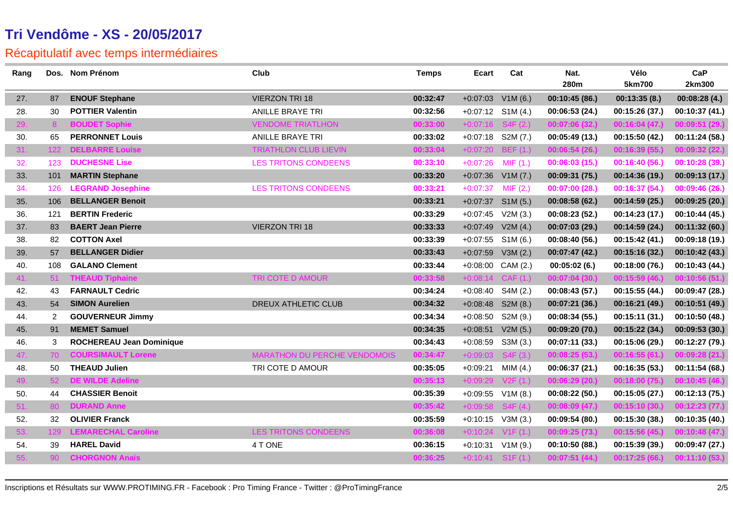| Rang |                 | Dos. Nom Prénom                 | Club                                | <b>Temps</b> | <b>Ecart</b>          | Cat      | Nat.<br>280m   | Vélo<br>5km700                  | CaP<br>2km300  |
|------|-----------------|---------------------------------|-------------------------------------|--------------|-----------------------|----------|----------------|---------------------------------|----------------|
| 27.  | 87              | <b>ENOUF Stephane</b>           | <b>VIERZON TRI 18</b>               | 00:32:47     | $+0.07:03$ V1M (6.)   |          | 00:10:45 (86.) | 00:13:35(8.)                    | 00:08:28(4.)   |
| 28.  | 30              | <b>POTTIER Valentin</b>         | <b>ANILLE BRAYE TRI</b>             | 00:32:56     | $+0:07:12$ S1M (4.)   |          | 00:06:53 (24.) | 00:15:26 (37.)                  | 00:10:37 (41.) |
| 29.  | 8 <sup>1</sup>  | <b>BOUDET Sophie</b>            | <b>VENDOME TRIATLHON</b>            | 00:33:00     | $+0:07:16$            | S4F(2.)  | 00:07:06(32.)  | 00:16:04(47.)                   | 00:09:51(29.)  |
| 30.  | 65              | <b>PERRONNET Louis</b>          | <b>ANILLE BRAYE TRI</b>             | 00:33:02     | $+0.07:18$ S2M (7.)   |          | 00:05:49 (13.) | 00:15:50 (42.)                  | 00:11:24 (58.) |
| 31.  | 122             | <b>DELBARRE Louise</b>          | <b>TRIATHLON CLUB LIEVIN</b>        | 00:33:04     | $+0:07:20$ BEF $(1.)$ |          | 00:06:54(26.)  | $00:16:39(55.)$ $00:09:32(22.)$ |                |
| 32.  | 123             | <b>DUCHESNE Lise</b>            | <b>LES TRITONS CONDEENS</b>         | 00:33:10     | $+0:07:26$            | MIF(1.)  | 00:06:03(15.)  | 00:16:40 (56.)                  | 00:10:28 (39.) |
| 33.  | 101             | <b>MARTIN Stephane</b>          |                                     | 00:33:20     | $+0:07:36$            | V1M(7.)  | 00:09:31 (75.) | 00:14:36 (19.)                  | 00:09:13 (17.) |
| 34.  | 126             | <b>LEGRAND Josephine</b>        | <b>LES TRITONS CONDEENS</b>         | 00:33:21     | $+0:07:37$            | MIF(2.)  | 00:07:00 (28.) | 00:16:37 (54.)                  | 00:09:46 (26.) |
| 35.  | 106             | <b>BELLANGER Benoit</b>         |                                     | 00:33:21     | $+0:07:37$            | SIM(5.)  | 00:08:58(62)   | 00:14:59(25.)                   | 00:09:25(20.)  |
| 36.  | 121             | <b>BERTIN Frederic</b>          |                                     | 00:33:29     | $+0:07:45$            | V2M(3.)  | 00:08:23 (52.) | 00:14:23 (17.)                  | 00:10:44 (45.) |
| 37.  | 83              | <b>BAERT Jean Pierre</b>        | <b>VIERZON TRI 18</b>               | 00:33:33     | $+0:07:49$            | V2M(4.)  | 00:07:03(29.)  | 00:14:59 (24.)                  | 00:11:32 (60.) |
| 38.  | 82              | <b>COTTON Axel</b>              |                                     | 00:33:39     | $+0:07:55$            | S1M (6.) | 00:08:40 (56.) | 00:15:42 (41.)                  | 00:09:18 (19.) |
| 39.  | 57              | <b>BELLANGER Didier</b>         |                                     | 00:33:43     | $+0:07:59$            | V3M(2.)  | 00:07:47 (42.) | 00:15:16 (32.)                  | 00:10:42 (43.) |
| 40.  | 108             | <b>GALANO Clement</b>           |                                     | 00:33:44     | $+0.08:00$ CAM (2.)   |          | 00:05:02(6.)   | 00:18:00 (76.)                  | 00:10:43 (44.) |
| 41.  | 51              | <b>THEAUD Tiphaine</b>          | TRI COTE D AMOUR                    | 00:33:58     | $+0:08:14$ CAF $(1.)$ |          | 00:07:04(30.)  | $00:15:59(46.)$ $00:10:56(51.)$ |                |
| 42.  | 43              | <b>FARNAULT Cedric</b>          |                                     | 00:34:24     | $+0.08:40$            | S4M (2.) | 00:08:43(57.)  | 00:15:55 (44.)                  | 00:09:47 (28.) |
| 43.  | 54              | <b>SIMON Aurelien</b>           | DREUX ATHLETIC CLUB                 | 00:34:32     | $+0:08:48$            | S2M(8.)  | 00:07:21 (36.) | 00:16:21 (49.)                  | 00:10:51 (49.) |
| 44.  | $\overline{2}$  | <b>GOUVERNEUR Jimmy</b>         |                                     | 00:34:34     | $+0:08:50$            | S2M (9.) | 00:08:34 (55.) | 00:15:11 (31.)                  | 00:10:50 (48.) |
| 45.  | 91              | <b>MEMET Samuel</b>             |                                     | 00:34:35     | $+0:08:51$            | V2M(5.)  | 00:09:20(70.)  | 00:15:22 (34.)                  | 00:09:53(30.)  |
| 46.  | 3               | <b>ROCHEREAU Jean Dominique</b> |                                     | 00:34:43     | $+0.08:59$            | S3M (3.) | 00:07:11 (33.) | 00:15:06 (29.)                  | 00:12:27 (79.) |
| 47.  | 70              | <b>COURSIMAULT Lorene</b>       | <b>MARATHON DU PERCHE VENDOMOIS</b> | 00:34:47     | $+0:09:03$            | S4F(3.)  | 00:08:25(53.)  | 00:16:55(61.)                   | 00:09:28(21.)  |
| 48.  | 50              | <b>THEAUD Julien</b>            | TRI COTE D AMOUR                    | 00:35:05     | $+0:09:21$            | MIM(4.)  | 00:06:37 (21.) | 00:16:35 (53.)                  | 00:11:54 (68.) |
| 49.  | 52              | <b>DE WILDE Adeline</b>         |                                     | 00:35:13     | $+0:09:29$            | V2F(1.)  | 00:06:29(20.)  | 00:18:00(75)                    | 00:10:45(46)   |
| 50.  | 44              | <b>CHASSIER Benoit</b>          |                                     | 00:35:39     | $+0.09:55$ V1M (8.)   |          | 00:08:22(50.)  | 00:15:05 (27.)                  | 00:12:13 (75.) |
| 51.  | 80              | <b>DURAND Anne</b>              |                                     | 00:35:42     | $+0.09:58$ S4F (4.)   |          | 00:08:09(47.)  | $00:15:10(30.)$ $00:12:23(77.)$ |                |
| 52.  | 32              | <b>OLIVIER Franck</b>           |                                     | 00:35:59     | $+0:10:15$ V3M (3.)   |          | 00:09:54 (80.) | 00:15:30 (38.)                  | 00:10:35 (40.) |
| 53.  | 129             | <b>LEMARECHAL Caroline</b>      | LES TRITONS CONDEENS                | 00:36:08     | $+0:10:24$            | V1F(1.)  | 00:09:25(73.)  | 00:15:56(45)                    | 00:10:48(47)   |
| 54.  | 39              | <b>HAREL David</b>              | 4 T ONE                             | 00:36:15     | $+0:10:31$ V1M (9.)   |          | 00:10:50(88.)  | 00:15:39 (39.)                  | 00:09:47 (27.) |
| 55.  | 90 <sup>°</sup> | <b>CHORGNON Anais</b>           |                                     | 00:36:25     | $+0:10:41$ S1F (1.)   |          | 00:07:51(44)   | $00:17:25(66.)$ $00:11:10(53.)$ |                |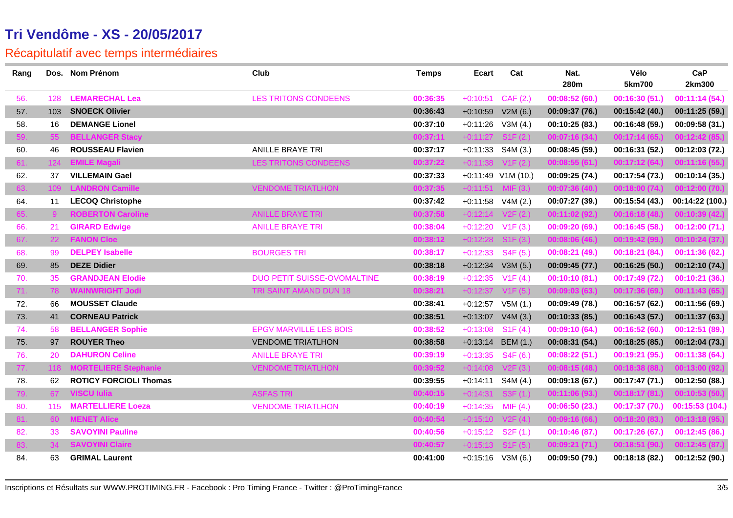| Rang |                  | Dos. Nom Prénom               | Club                          | <b>Temps</b> | Ecart               | Cat                | Nat.<br>280m   | Vélo<br>5km700 | <b>CaP</b><br>2km300 |
|------|------------------|-------------------------------|-------------------------------|--------------|---------------------|--------------------|----------------|----------------|----------------------|
| 56.  | 128              | <b>LEMARECHAL Lea</b>         | <b>LES TRITONS CONDEENS</b>   | 00:36:35     | $+0:10:51$          | CAF(2.)            | 00:08:52(60.)  | 00:16:30 (51.) | 00:11:14 (54.)       |
| 57.  | 103              | <b>SNOECK Olivier</b>         |                               | 00:36:43     | $+0:10:59$          | V2M(6.)            | 00:09:37 (76.) | 00:15:42 (40.) | 00:11:25(59.)        |
| 58.  | 16               | <b>DEMANGE Lionel</b>         |                               | 00:37:10     | $+0:11:26$ V3M (4.) |                    | 00:10:25 (83.) | 00:16:48 (59.) | 00:09:58 (31.)       |
| 59.  | 55 <sub>o</sub>  | <b>BELLANGER Stacy</b>        |                               | 00:37:11     | $+0:11:27$          | S1F(2.)            | 00:07:16(34.)  | 00:17:14(65)   | 00:12:42(85)         |
| 60.  | 46               | <b>ROUSSEAU Flavien</b>       | <b>ANILLE BRAYE TRI</b>       | 00:37:17     | $+0:11:33$ S4M (3.) |                    | 00:08:45(59.)  | 00:16:31 (52.) | 00:12:03 (72.)       |
| 61.  | 124              | <b>EMILE Magali</b>           | LES TRITONS CONDEENS          | 00:37:22     | $+0:11:38$ V1F (2.) |                    | 00:08:55(61.)  | 00:17:12(64)   | 00:11:16(55)         |
| 62.  | 37               | <b>VILLEMAIN Gael</b>         |                               | 00:37:33     |                     | +0:11:49 V1M (10.) | 00:09:25 (74.) | 00:17:54 (73.) | 00:10:14 (35.)       |
| 63.  | 109 <sup>°</sup> | <b>LANDRON Camille</b>        | <b>VENDOME TRIATLHON</b>      | 00:37:35     | $+0:11:51$ MIF (3.) |                    | 00:07:36(40.)  | 00:18:00(74)   | 00:12:00(70.)        |
| 64.  | 11               | <b>LECOQ Christophe</b>       |                               | 00:37:42     | $+0:11:58$ V4M (2.) |                    | 00:07:27 (39.) | 00:15:54 (43.) | 00:14:22 (100.)      |
| 65.  | -9               | <b>ROBERTON Caroline</b>      | <b>ANILLE BRAYE TRI</b>       | 00:37:58     | $+0:12:14$ V2F (2.) |                    | 00:11:02(92.)  | 00:16:18(48)   | 00:10:39(42)         |
| 66.  | 21               | <b>GIRARD Edwige</b>          | <b>ANILLE BRAYE TRI</b>       | 00:38:04     | $+0:12:20$ V1F (3.) |                    | 00:09:20 (69.) | 00:16:45 (58.) | 00:12:00(71.)        |
| 67.  | 22 <sup>2</sup>  | <b>FANON Cloe</b>             |                               | 00:38:12     | $+0:12:28$ S1F (3.) |                    | 00:08:06(46.)  | 00:19:42(99.)  | 00:10:24(37.)        |
| 68.  | 99               | <b>DELPEY Isabelle</b>        | <b>BOURGES TRI</b>            | 00:38:17     | $+0:12:33$ S4F (5.) |                    | 00:08:21 (49.) | 00:18:21 (84.) | 00:11:36 (62.)       |
| 69.  | 85               | <b>DEZE Didier</b>            |                               | 00:38:18     | $+0:12:34$          | V3M(5.)            | 00:09:45 (77.) | 00:16:25(50.)  | 00:12:10 (74.)       |
| 70.  | 35               | <b>GRANDJEAN Elodie</b>       | DUO PETIT SUISSE-OVOMALTINE   | 00:38:19     | $+0:12:35$          | V1F(4.)            | 00:10:10 (81.) | 00:17:49 (72.) | 00:10:21 (36.)       |
| 71.  | 78               | <b>WAINWRIGHT Jodi</b>        | TRI SAINT AMAND DUN 18        | 00:38:21     | $+0:12:37$          | V1F(5.)            | 00:09:03(63.)  | 00:17:36 (69.) | 00:11:43(65)         |
| 72.  | 66               | <b>MOUSSET Claude</b>         |                               | 00:38:41     | $+0:12:57$ V5M (1.) |                    | 00:09:49 (78.) | 00:16:57 (62.) | 00:11:56 (69.)       |
| 73.  | 41               | <b>CORNEAU Patrick</b>        |                               | 00:38:51     | $+0:13:07$ V4M (3.) |                    | 00:10:33(85.)  | 00:16:43 (57.) | 00:11:37 (63.)       |
| 74.  | 58               | <b>BELLANGER Sophie</b>       | <b>EPGV MARVILLE LES BOIS</b> | 00:38:52     | $+0:13:08$          | S1F(4.)            | 00:09:10 (64.) | 00:16:52(60.)  | 00:12:51 (89.)       |
| 75.  | 97               | <b>ROUYER Theo</b>            | <b>VENDOME TRIATLHON</b>      | 00:38:58     | $+0:13:14$          | <b>BEM (1.)</b>    | 00:08:31 (54.) | 00:18:25 (85.) | 00:12:04 (73.)       |
| 76.  | 20               | <b>DAHURON Celine</b>         | <b>ANILLE BRAYE TRI</b>       | 00:39:19     | $+0:13:35$          | S4F (6.)           | 00:08:22(51.)  | 00:19:21 (95.) | 00:11:38 (64.)       |
| 77.  | 118              | <b>MORTELIERE Stephanie</b>   | <b>VENDOME TRIATLHON</b>      | 00:39:52     | $+0:14:08$ V2F (3.) |                    | 00:08:15(48)   | 00:18:38(88)   | 00:13:00(92)         |
| 78.  | 62               | <b>ROTICY FORCIOLI Thomas</b> |                               | 00:39:55     | $+0:14:11$ S4M (4.) |                    | 00:09:18(67.)  | 00:17:47 (71.) | 00:12:50 (88.)       |
| 79.  | 67               | <b>VISCU Iulia</b>            | <b>ASFAS TRI</b>              | 00:40:15     | $+0:14:31$ S3F (1.) |                    | 00:11:06(93.)  | 00:18:17(81)   | 00:10:53(50)         |
| 80.  | 115              | <b>MARTELLIERE Loeza</b>      | <b>VENDOME TRIATLHON</b>      | 00:40:19     | $+0:14:35$          | MIF(4.)            | 00:06:50(23.)  | 00:17:37 (70.) | 00:15:53(104.)       |
| 81.  | 60               | <b>MENET Alice</b>            |                               | 00:40:54     | $+0:15:10$          | V2F(4.)            | 00:09:16(66)   | 00:18:20(83)   | 00:13:18(95)         |
| 82.  | 33               | <b>SAVOYINI Pauline</b>       |                               | 00:40:56     | $+0:15:12$ S2F (1.) |                    | 00:10:46 (87.) | 00:17:26 (67.) | 00:12:45(86.)        |
| 83.  | 34 <sup>°</sup>  | <b>SAVOYINI Claire</b>        |                               | 00:40:57     | $+0:15:13$ S1F (5.) |                    | 00:09:21(71.)  | 00:18:51(90.)  | 00:12:45(87.)        |
| 84.  | 63               | <b>GRIMAL Laurent</b>         |                               | 00:41:00     | $+0:15:16$ V3M (6.) |                    | 00:09:50 (79.) | 00:18:18 (82.) | 00:12:52 (90.)       |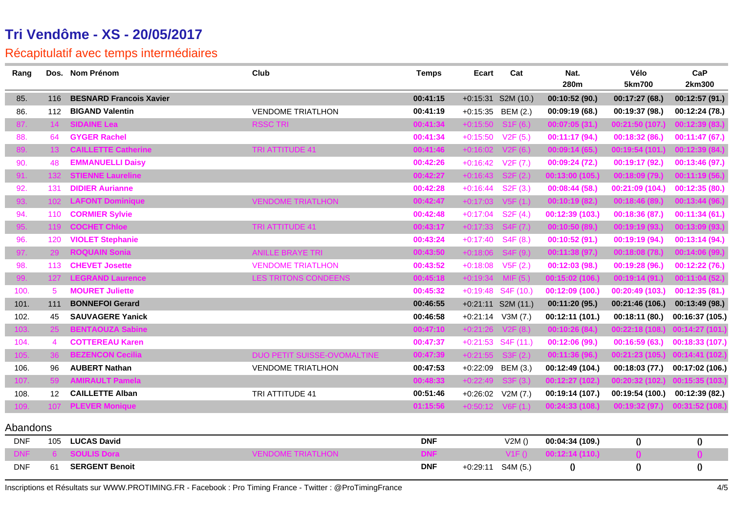| Rang       |                  | Dos. Nom Prénom                | Club                               | <b>Temps</b> | <b>Ecart</b>        | Cat                   | Nat.<br>280m    | Vélo<br>5km700                   | CaP<br>2km300    |
|------------|------------------|--------------------------------|------------------------------------|--------------|---------------------|-----------------------|-----------------|----------------------------------|------------------|
| 85.        | 116              | <b>BESNARD Francois Xavier</b> |                                    | 00:41:15     |                     | $+0:15:31$ S2M (10.)  | 00:10:52 (90.)  | 00:17:27 (68.)                   | 00:12:57 (91.)   |
| 86.        | 112              | <b>BIGAND Valentin</b>         | <b>VENDOME TRIATLHON</b>           | 00:41:19     | $+0:15:35$ BEM (2.) |                       | 00:09:19 (68.)  | 00:19:37 (98.)                   | 00:12:24 (78.)   |
| 87.        | 14               | <b>SIDAINE Lea</b>             | <b>RSSC TRI</b>                    | 00:41:34     |                     | $+0:15:50$ S1F (6.)   | 00:07:05(31.)   | $00:21:50(107.)$ $00:12:39(83.)$ |                  |
| 88.        | 64               | <b>GYGER Rachel</b>            |                                    | 00:41:34     | $+0:15:50$ V2F (5.) |                       | 00:11:17 (94.)  | 00:18:32(86.)                    | 00:11:47(67.)    |
| 89.        | 13 <sup>7</sup>  | <b>CAILLETTE Catherine</b>     | TRI ATTITUDE 41                    | 00:41:46     | $+0:16:02$ V2F (6.) |                       | 00:09:14(65.)   | $00:19:54(101.)$ $00:12:39(84.)$ |                  |
| 90.        | 48               | <b>EMMANUELLI Daisy</b>        |                                    | 00:42:26     | $+0:16:42$          | V2F(7.)               | 00:09:24 (72.)  | 00:19:17 (92.)                   | 00:13:46 (97.)   |
| 91.        | 132 <sub>2</sub> | <b>STIENNE Laureline</b>       |                                    | 00:42:27     |                     | $+0:16:43$ S2F (2.)   | 00:13:00(105.)  | 00:18:09(79.)                    | 00:11:19(56)     |
| 92.        | 131              | <b>DIDIER Aurianne</b>         |                                    | 00:42:28     | $+0:16:44$          | S2F(3.)               | 00:08:44(58.)   | 00:21:09 (104.)                  | 00:12:35(80.)    |
| 93.        | 102 <sub>1</sub> | <b>LAFONT Dominique</b>        | <b>VENDOME TRIATLHON</b>           | 00:42:47     | $+0:17:03$          | V5F(1.)               | 00:10:19(82)    | 00:18:46(89.)                    | 00:13:44(96.)    |
| 94.        | 110              | <b>CORMIER Sylvie</b>          |                                    | 00:42:48     | $+0:17:04$          | S2F(4.)               | 00:12:39 (103.) | 00:18:36 (87.)                   | 00:11:34(61.)    |
| 95.        |                  | 119 COCHET Chloe               | TRI ATTITUDE 41                    | 00:43:17     | $+0:17:33$ S4F (7.) |                       | 00:10:50(89.)   | 00:19:19(93)                     | 00:13:09(93.)    |
| 96.        | 120              | <b>VIOLET Stephanie</b>        |                                    | 00:43:24     | $+0:17:40$          | S4F(8.)               | 00:10:52(91.)   | 00:19:19 (94.)                   | 00:13:14 (94.)   |
| 97.        | <b>29</b>        | <b>ROQUAIN Sonia</b>           | <b>ANILLE BRAYE TRI</b>            | 00:43:50     | $+0:18:06$          | S4F(9.)               | 00:11:38(97)    | 00:18:08(78)                     | 00:14:06(99.)    |
| 98.        | 113              | <b>CHEVET Josette</b>          | <b>VENDOME TRIATLHON</b>           | 00:43:52     | $+0:18:08$          | V5F(2.)               | 00:12:03 (98.)  | 00:19:28 (96.)                   | 00:12:22 (76.)   |
| 99.        | 127              | <b>LEGRAND Laurence</b>        | LES TRITONS CONDEENS               | 00:45:18     | $+0:19:34$          | MIF(5.)               | 00:15:02(106.)  | 00:19:14(91.)                    | 00:11:04(52)     |
| 100.       | $5^{\circ}$      | <b>MOURET Juliette</b>         |                                    | 00:45:32     |                     | +0:19:48 S4F (10.)    | 00:12:09 (100.) | 00:20:49(103.)                   | 00:12:35(81.)    |
| 101.       | 111              | <b>BONNEFOI Gerard</b>         |                                    | 00:46:55     |                     | $+0:21:11$ S2M (11.)  | 00:11:20 (95.)  | 00:21:46 (106.)                  | 00:13:49 (98.)   |
| 102.       | 45               | <b>SAUVAGERE Yanick</b>        |                                    | 00:46:58     | $+0:21:14$ V3M (7.) |                       | 00:12:11 (101.) | 00:18:11 (80.)                   | 00:16:37 (105.)  |
| 103.       | 25 <sup>2</sup>  | <b>BENTAOUZA Sabine</b>        |                                    | 00:47:10     | $+0:21:26$ V2F (8.) |                       | 00:10:26(84)    | 00:22:18 (108.) 00:14:27 (101.)  |                  |
| 104.       | 4                | <b>COTTEREAU Karen</b>         |                                    | 00:47:37     |                     | $+0:21:53$ S4F (11.)  | 00:12:06(99.)   | 00:16:59(63)                     | 00:18:33(107.)   |
| 105.       | 36               | <b>BEZENCON Cecilia</b>        | <b>DUO PETIT SUISSE-OVOMALTINE</b> | 00:47:39     | $+0:21:55$          | S3F(2)                | 00:11:36(96.)   | 00:21:23 (105.) 00:14:41 (102.)  |                  |
| 106.       | 96               | <b>AUBERT Nathan</b>           | <b>VENDOME TRIATLHON</b>           | 00:47:53     |                     | +0:22:09 BEM (3.)     | 00:12:49 (104.) | 00:18:03(77.)                    | 00:17:02 (106.)  |
| 107.       | 59               | <b>AMIRAULT Pamela</b>         |                                    | 00:48:33     |                     | $+0:22:49$ S3F (3.)   | 00:12:27(102.)  | 00:20:32 (102.) 00:15:35 (103.)  |                  |
| 108.       | 12               | <b>CAILLETTE Alban</b>         | <b>TRI ATTITUDE 41</b>             | 00:51:46     | $+0:26:02$ V2M (7.) |                       | 00:19:14 (107.) | 00:19:54 (100.) 00:12:39 (82.)   |                  |
| 109.       | 107              | <b>PLEVER Monique</b>          |                                    | 01:15:56     |                     | $+0:50:12$ V6F $(1.)$ | 00:24:33(108.)  | $00:19:32(97.)$ $00:31:52(108.)$ |                  |
| Abandons   |                  |                                |                                    |              |                     |                       |                 |                                  |                  |
| <b>DNF</b> | 105              | <b>LUCAS David</b>             |                                    | <b>DNF</b>   |                     | V2M()                 | 00:04:34 (109.) | $\boldsymbol{0}$                 | $\boldsymbol{0}$ |
| <b>DNF</b> | 6                | <b>SOULIS Dora</b>             | <b>VENDOME TRIATLHON</b>           | <b>DNF</b>   |                     | V1F()                 | 00:12:14(110.)  | $\theta$                         | $\bf{0}$         |
| <b>DNF</b> | 61               | <b>SERGENT Benoit</b>          |                                    | <b>DNF</b>   | $+0:29:11$          | S4M (5.)              | $\theta$        | $\boldsymbol{0}$                 | $\boldsymbol{0}$ |